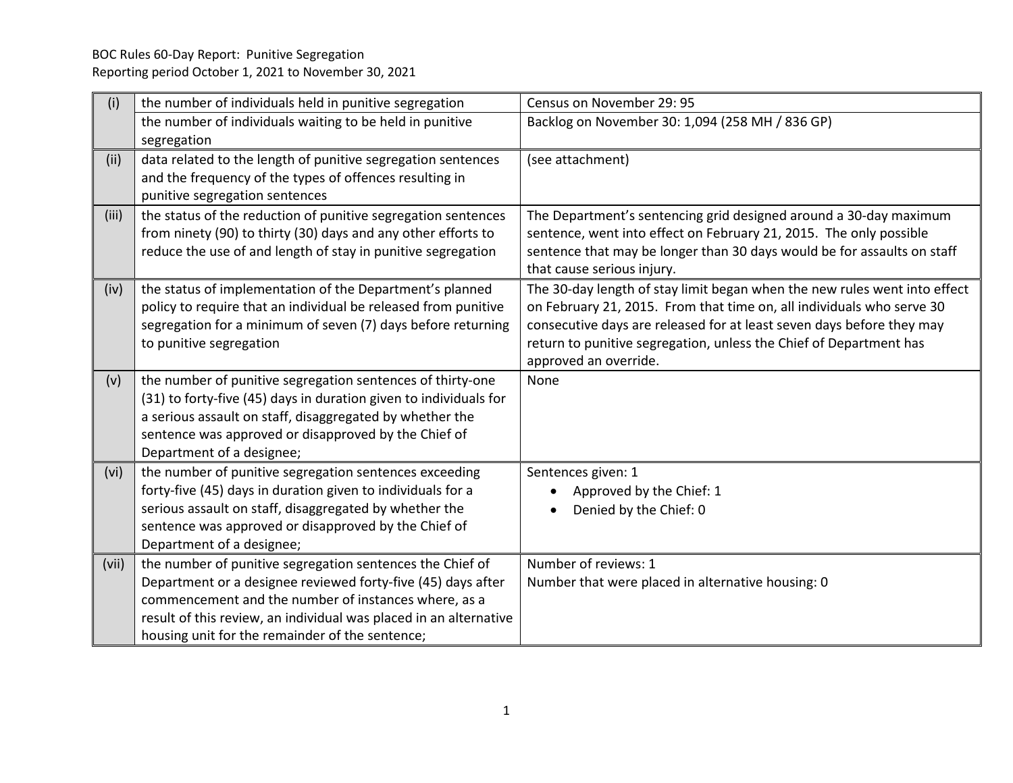| (i)   | the number of individuals held in punitive segregation            | Census on November 29: 95                                                 |
|-------|-------------------------------------------------------------------|---------------------------------------------------------------------------|
|       | the number of individuals waiting to be held in punitive          | Backlog on November 30: 1,094 (258 MH / 836 GP)                           |
|       | segregation                                                       |                                                                           |
| (ii)  | data related to the length of punitive segregation sentences      | (see attachment)                                                          |
|       | and the frequency of the types of offences resulting in           |                                                                           |
|       | punitive segregation sentences                                    |                                                                           |
| (iii) | the status of the reduction of punitive segregation sentences     | The Department's sentencing grid designed around a 30-day maximum         |
|       | from ninety (90) to thirty (30) days and any other efforts to     | sentence, went into effect on February 21, 2015. The only possible        |
|       | reduce the use of and length of stay in punitive segregation      | sentence that may be longer than 30 days would be for assaults on staff   |
|       |                                                                   | that cause serious injury.                                                |
| (iv)  | the status of implementation of the Department's planned          | The 30-day length of stay limit began when the new rules went into effect |
|       | policy to require that an individual be released from punitive    | on February 21, 2015. From that time on, all individuals who serve 30     |
|       | segregation for a minimum of seven (7) days before returning      | consecutive days are released for at least seven days before they may     |
|       | to punitive segregation                                           | return to punitive segregation, unless the Chief of Department has        |
|       |                                                                   | approved an override.                                                     |
| (v)   | the number of punitive segregation sentences of thirty-one        | None                                                                      |
|       | (31) to forty-five (45) days in duration given to individuals for |                                                                           |
|       | a serious assault on staff, disaggregated by whether the          |                                                                           |
|       | sentence was approved or disapproved by the Chief of              |                                                                           |
|       | Department of a designee;                                         |                                                                           |
| (vi)  | the number of punitive segregation sentences exceeding            | Sentences given: 1                                                        |
|       | forty-five (45) days in duration given to individuals for a       | Approved by the Chief: 1                                                  |
|       | serious assault on staff, disaggregated by whether the            | Denied by the Chief: 0                                                    |
|       | sentence was approved or disapproved by the Chief of              |                                                                           |
|       | Department of a designee;                                         |                                                                           |
| (vii) | the number of punitive segregation sentences the Chief of         | Number of reviews: 1                                                      |
|       | Department or a designee reviewed forty-five (45) days after      | Number that were placed in alternative housing: 0                         |
|       | commencement and the number of instances where, as a              |                                                                           |
|       | result of this review, an individual was placed in an alternative |                                                                           |
|       | housing unit for the remainder of the sentence;                   |                                                                           |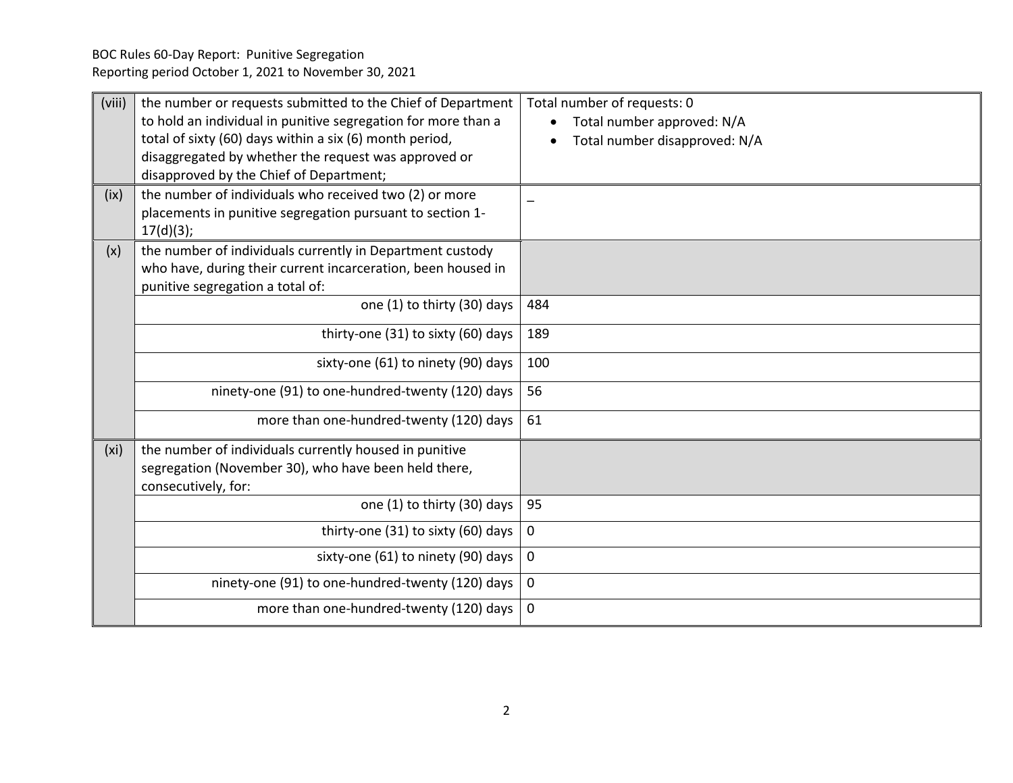BOC Rules 60-Day Report: Punitive Segregation Reporting period October 1, 2021 to November 30, 2021

| (viii)            | the number or requests submitted to the Chief of Department<br>to hold an individual in punitive segregation for more than a<br>total of sixty (60) days within a six (6) month period,<br>disaggregated by whether the request was approved or<br>disapproved by the Chief of Department; | Total number of requests: 0<br>Total number approved: N/A<br>Total number disapproved: N/A |
|-------------------|--------------------------------------------------------------------------------------------------------------------------------------------------------------------------------------------------------------------------------------------------------------------------------------------|--------------------------------------------------------------------------------------------|
| (ix)              | the number of individuals who received two (2) or more<br>placements in punitive segregation pursuant to section 1-<br>17(d)(3);                                                                                                                                                           |                                                                                            |
| (x)               | the number of individuals currently in Department custody<br>who have, during their current incarceration, been housed in<br>punitive segregation a total of:                                                                                                                              |                                                                                            |
|                   | one (1) to thirty (30) days                                                                                                                                                                                                                                                                | 484                                                                                        |
|                   | thirty-one (31) to sixty (60) days                                                                                                                                                                                                                                                         | 189                                                                                        |
|                   | sixty-one (61) to ninety (90) days                                                                                                                                                                                                                                                         | 100                                                                                        |
|                   | ninety-one (91) to one-hundred-twenty (120) days                                                                                                                                                                                                                                           | 56                                                                                         |
|                   | more than one-hundred-twenty (120) days                                                                                                                                                                                                                                                    | 61                                                                                         |
| (x <sub>i</sub> ) | the number of individuals currently housed in punitive<br>segregation (November 30), who have been held there,<br>consecutively, for:                                                                                                                                                      |                                                                                            |
|                   | one (1) to thirty (30) days                                                                                                                                                                                                                                                                | 95                                                                                         |
|                   | thirty-one (31) to sixty (60) days                                                                                                                                                                                                                                                         | 0                                                                                          |
|                   | sixty-one (61) to ninety (90) days                                                                                                                                                                                                                                                         | 0                                                                                          |
|                   | ninety-one (91) to one-hundred-twenty (120) days                                                                                                                                                                                                                                           | 0                                                                                          |
|                   | more than one-hundred-twenty (120) days                                                                                                                                                                                                                                                    | 0                                                                                          |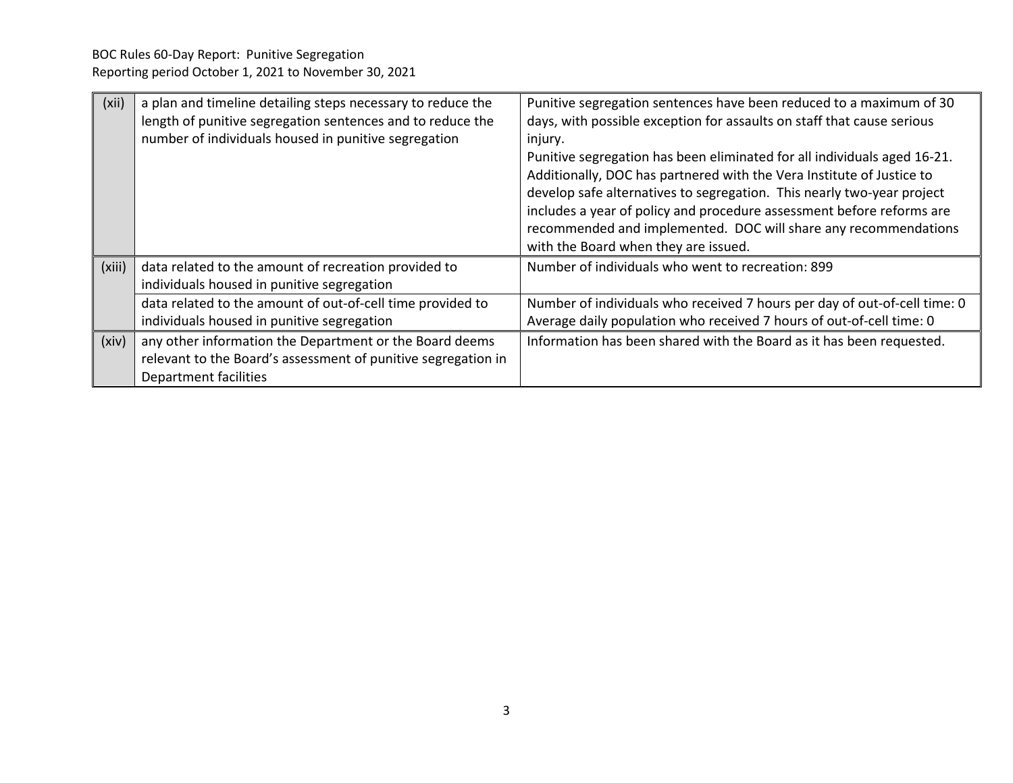| (xii)  | a plan and timeline detailing steps necessary to reduce the<br>length of punitive segregation sentences and to reduce the<br>number of individuals housed in punitive segregation | Punitive segregation sentences have been reduced to a maximum of 30<br>days, with possible exception for assaults on staff that cause serious<br>injury.<br>Punitive segregation has been eliminated for all individuals aged 16-21.<br>Additionally, DOC has partnered with the Vera Institute of Justice to<br>develop safe alternatives to segregation. This nearly two-year project<br>includes a year of policy and procedure assessment before reforms are<br>recommended and implemented. DOC will share any recommendations<br>with the Board when they are issued. |
|--------|-----------------------------------------------------------------------------------------------------------------------------------------------------------------------------------|-----------------------------------------------------------------------------------------------------------------------------------------------------------------------------------------------------------------------------------------------------------------------------------------------------------------------------------------------------------------------------------------------------------------------------------------------------------------------------------------------------------------------------------------------------------------------------|
| (xiii) | data related to the amount of recreation provided to<br>individuals housed in punitive segregation                                                                                | Number of individuals who went to recreation: 899                                                                                                                                                                                                                                                                                                                                                                                                                                                                                                                           |
|        | data related to the amount of out-of-cell time provided to<br>individuals housed in punitive segregation                                                                          | Number of individuals who received 7 hours per day of out-of-cell time: 0<br>Average daily population who received 7 hours of out-of-cell time: 0                                                                                                                                                                                                                                                                                                                                                                                                                           |
| (xiv)  | any other information the Department or the Board deems<br>relevant to the Board's assessment of punitive segregation in<br>Department facilities                                 | Information has been shared with the Board as it has been requested.                                                                                                                                                                                                                                                                                                                                                                                                                                                                                                        |